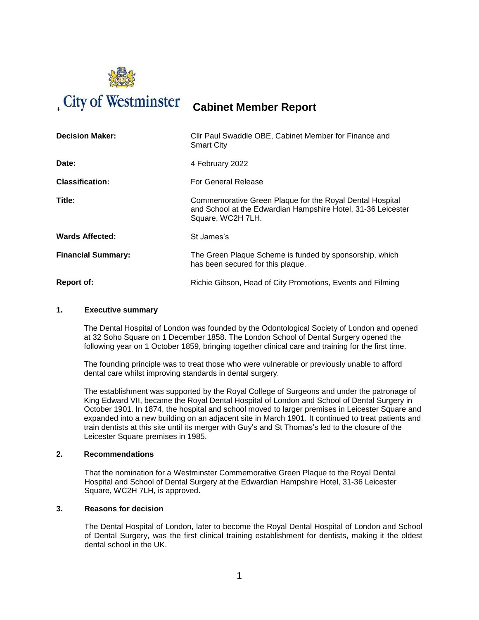

# <sup>+</sup> **Cabinet Member Report**

| <b>Decision Maker:</b>    | Cllr Paul Swaddle OBE, Cabinet Member for Finance and<br><b>Smart City</b>                                                                    |
|---------------------------|-----------------------------------------------------------------------------------------------------------------------------------------------|
| Date:                     | 4 February 2022                                                                                                                               |
| <b>Classification:</b>    | <b>For General Release</b>                                                                                                                    |
| Title:                    | Commemorative Green Plaque for the Royal Dental Hospital<br>and School at the Edwardian Hampshire Hotel, 31-36 Leicester<br>Square, WC2H 7LH. |
| <b>Wards Affected:</b>    | St James's                                                                                                                                    |
| <b>Financial Summary:</b> | The Green Plaque Scheme is funded by sponsorship, which<br>has been secured for this plaque.                                                  |
| <b>Report of:</b>         | Richie Gibson, Head of City Promotions, Events and Filming                                                                                    |

# **1. Executive summary**

The Dental Hospital of London was founded by the Odontological Society of London and opened at 32 Soho Square on 1 December 1858. The London School of Dental Surgery opened the following year on 1 October 1859, bringing together clinical care and training for the first time.

The founding principle was to treat those who were vulnerable or previously unable to afford dental care whilst improving standards in dental surgery.

The establishment was supported by the Royal College of Surgeons and under the patronage of King Edward VII, became the Royal Dental Hospital of London and School of Dental Surgery in October 1901. In 1874, the hospital and school moved to larger premises in Leicester Square and expanded into a new building on an adjacent site in March 1901. It continued to treat patients and train dentists at this site until its merger with Guy's and St Thomas's led to the closure of the Leicester Square premises in 1985.

# **2. Recommendations**

That the nomination for a Westminster Commemorative Green Plaque to the Royal Dental Hospital and School of Dental Surgery at the Edwardian [Hampshire Hotel,](http://www.radissonblu-edwardian.com/london-hotel-gb-wc2h-7lh/gbhampsh/home) 31-36 Leicester Square, WC2H 7LH, is approved.

### **3. Reasons for decision**

The Dental Hospital of London, later to become the Royal Dental Hospital of London and School of Dental Surgery, was the first clinical training establishment for dentists, making it the oldest dental school in the UK.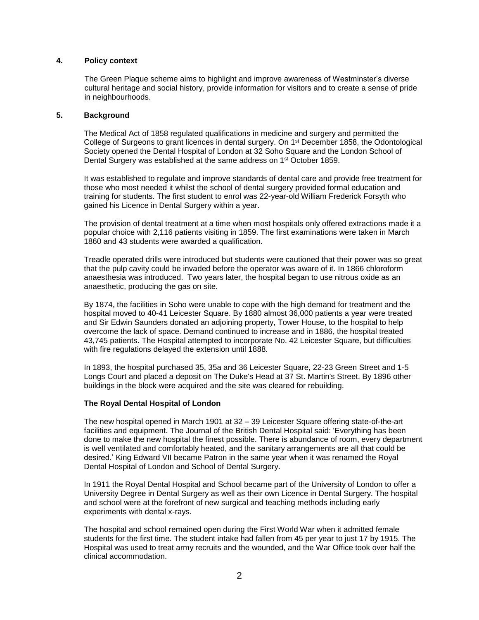## **4. Policy context**

The Green Plaque scheme aims to highlight and improve awareness of Westminster's diverse cultural heritage and social history, provide information for visitors and to create a sense of pride in neighbourhoods.

## **5. Background**

The Medical Act of 1858 regulated qualifications in medicine and surgery and permitted the College of Surgeons to grant licences in dental surgery. On 1st December 1858, the Odontological Society opened the Dental Hospital of London at 32 Soho Square and the London School of Dental Surgery was established at the same address on 1<sup>st</sup> October 1859.

It was established to regulate and improve standards of dental care and provide free treatment for those who most needed it whilst the school of dental surgery provided formal education and training for students. The first student to enrol was 22-year-old William Frederick Forsyth who gained his Licence in Dental Surgery within a year.

The provision of dental treatment at a time when most hospitals only offered extractions made it a popular choice with 2,116 patients visiting in 1859. The first examinations were taken in March 1860 and 43 students were awarded a qualification.

Treadle operated drills were introduced but students were cautioned that their power was so great that the pulp cavity could be invaded before the operator was aware of it. In 1866 chloroform anaesthesia was introduced. Two years later, the hospital began to use nitrous oxide as an anaesthetic, producing the gas on site.

By 1874, the facilities in Soho were unable to cope with the high demand for treatment and the hospital moved to 40-41 Leicester Square. By 1880 almost 36,000 patients a year were treated and Sir Edwin Saunders donated an adjoining property, Tower House, to the hospital to help overcome the lack of space. Demand continued to increase and in 1886, the hospital treated 43,745 patients. The Hospital attempted to incorporate No. 42 Leicester Square, but difficulties with fire regulations delayed the extension until 1888.

In 1893, the hospital purchased 35, 35a and 36 Leicester Square, 22-23 Green Street and 1-5 Longs Court and placed a deposit on The Duke's Head at 37 St. Martin's Street. By 1896 other buildings in the block were acquired and the site was cleared for rebuilding.

# **The Royal Dental Hospital of London**

The new hospital opened in March 1901 at 32 – 39 Leicester Square offering state-of-the-art facilities and equipment. The Journal of the British Dental Hospital said: 'Everything has been done to make the new hospital the finest possible. There is abundance of room, every department is well ventilated and comfortably heated, and the sanitary arrangements are all that could be desired.' King Edward VII became Patron in the same year when it was renamed the Royal Dental Hospital of London and School of Dental Surgery.

In 1911 the Royal Dental Hospital and School became part of the University of London to offer a University Degree in Dental Surgery as well as their own Licence in Dental Surgery. The hospital and school were at the forefront of new surgical and teaching methods including early experiments with dental x-rays.

The hospital and school remained open during the First World War when it admitted female students for the first time. The student intake had fallen from 45 per year to just 17 by 1915. The Hospital was used to treat army recruits and the wounded, and the War Office took over half the clinical accommodation.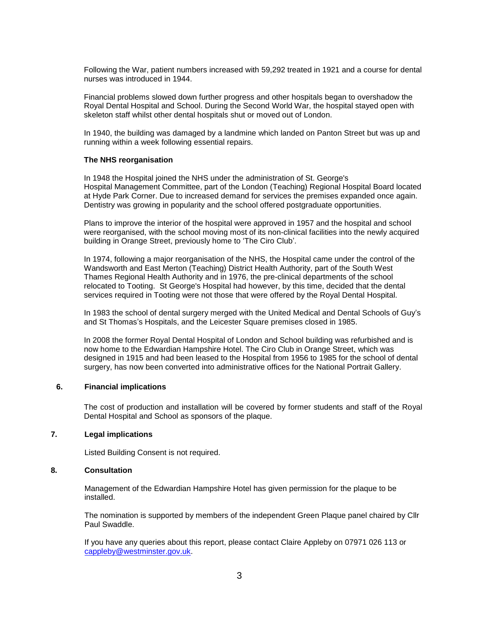Following the War, patient numbers increased with 59,292 treated in 1921 and a course for dental nurses was introduced in 1944.

Financial problems slowed down further progress and other hospitals began to overshadow the Royal Dental Hospital and School. During the Second World War, the hospital stayed open with skeleton staff whilst other dental hospitals shut or moved out of London.

In 1940, the building was damaged by a landmine which landed on Panton Street but was up and running within a week following essential repairs.

#### **The NHS reorganisation**

In 1948 the Hospital joined the NHS under the administration of St. [George's](https://ezitis.myzen.co.uk/stgeorgehydepark.html)  [Hospital](https://ezitis.myzen.co.uk/stgeorgehydepark.html) Management Committee, part of the London (Teaching) Regional Hospital Board located at Hyde Park Corner. Due to increased demand for services the premises expanded once again. Dentistry was growing in popularity and the school offered postgraduate opportunities.

Plans to improve the interior of the hospital were approved in 1957 and the hospital and school were reorganised, with the school moving most of its non-clinical facilities into the newly acquired building in Orange Street, previously home to 'The Ciro Club'.

In 1974, following a major reorganisation of the NHS, the Hospital came under the control of the Wandsworth and East Merton (Teaching) District Health Authority, part of the South West Thames Regional Health Authority and in 1976, the pre-clinical departments of the school relocated to Tooting. St George's Hospital had however, by this time, decided that the dental services required in Tooting were not those that were offered by the Royal Dental Hospital.

In 1983 the school of dental surgery merged with the United Medical and Dental Schools of Guy's and St Thomas's Hospitals, and the Leicester Square premises closed in 1985.

In 2008 the former Royal Dental Hospital of London and School building was refurbished and is now home to the [Edwardian Hampshire Hotel.](http://www.radissonblu-edwardian.com/london-hotel-gb-wc2h-7lh/gbhampsh/home) The Ciro Club in Orange Street, which was designed in 1915 and had been leased to the Hospital from 1956 to 1985 for the school of dental surgery, has now been converted into administrative offices for the [National Portrait Gallery.](http://www.npg.org.uk/)

# **6. Financial implications**

The cost of production and installation will be covered by former students and staff of the Royal Dental Hospital and School as sponsors of the plaque.

### **7. Legal implications**

Listed Building Consent is not required.

## **8. Consultation**

Management of the Edwardian Hampshire Hotel has given permission for the plaque to be installed.

The nomination is supported by members of the independent Green Plaque panel chaired by Cllr Paul Swaddle.

If you have any queries about this report, please contact Claire Appleby on 07971 026 113 or [cappleby@westminster.gov.uk.](mailto:cappleby@westminster.gov.uk)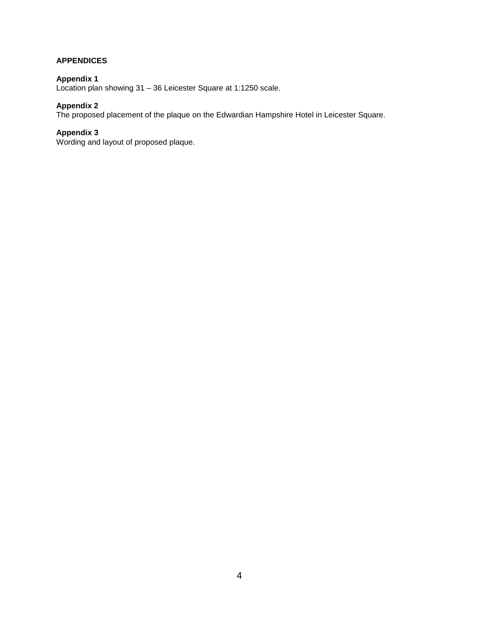# **APPENDICES**

# **Appendix 1**

Location plan showing 31 – 36 Leicester Square at 1:1250 scale.

# **Appendix 2**

The proposed placement of the plaque on the Edwardian Hampshire Hotel in Leicester Square.

# **Appendix 3**

Wording and layout of proposed plaque.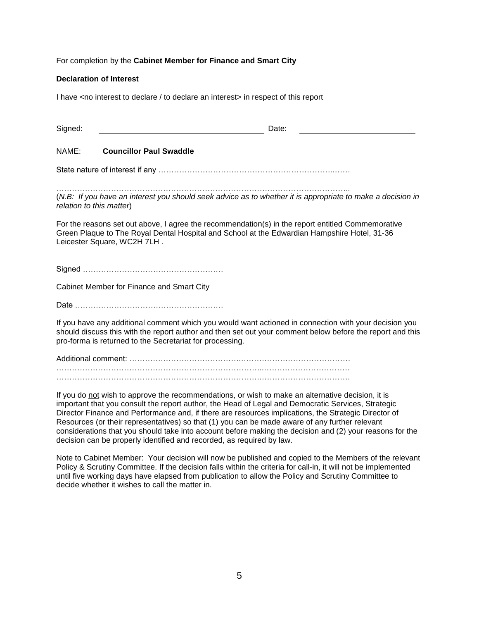For completion by the **Cabinet Member for Finance and Smart City**

## **Declaration of Interest**

I have <no interest to declare / to declare an interest> in respect of this report

| Signed:                  | Date:                                                                                                                                                                                                                                                                                                                                                                                                                                                                                                                         |
|--------------------------|-------------------------------------------------------------------------------------------------------------------------------------------------------------------------------------------------------------------------------------------------------------------------------------------------------------------------------------------------------------------------------------------------------------------------------------------------------------------------------------------------------------------------------|
| NAME:                    | <b>Councillor Paul Swaddle</b>                                                                                                                                                                                                                                                                                                                                                                                                                                                                                                |
|                          |                                                                                                                                                                                                                                                                                                                                                                                                                                                                                                                               |
| relation to this matter) | (N.B: If you have an interest you should seek advice as to whether it is appropriate to make a decision in                                                                                                                                                                                                                                                                                                                                                                                                                    |
|                          | For the reasons set out above, I agree the recommendation(s) in the report entitled Commemorative<br>Green Plaque to The Royal Dental Hospital and School at the Edwardian Hampshire Hotel, 31-36<br>Leicester Square, WC2H 7LH.                                                                                                                                                                                                                                                                                              |
|                          |                                                                                                                                                                                                                                                                                                                                                                                                                                                                                                                               |
|                          | Cabinet Member for Finance and Smart City                                                                                                                                                                                                                                                                                                                                                                                                                                                                                     |
|                          |                                                                                                                                                                                                                                                                                                                                                                                                                                                                                                                               |
|                          | If you have any additional comment which you would want actioned in connection with your decision you<br>should discuss this with the report author and then set out your comment below before the report and this<br>pro-forma is returned to the Secretariat for processing.                                                                                                                                                                                                                                                |
|                          |                                                                                                                                                                                                                                                                                                                                                                                                                                                                                                                               |
|                          |                                                                                                                                                                                                                                                                                                                                                                                                                                                                                                                               |
|                          | If you do not wish to approve the recommendations, or wish to make an alternative decision, it is<br>important that you consult the report author, the Head of Legal and Democratic Services, Strategic<br>Director Finance and Performance and, if there are resources implications, the Strategic Director of<br>Resources (or their representatives) so that (1) you can be made aware of any further relevant<br>considerations that you should take into account before making the decision and (2) your reasons for the |

Note to Cabinet Member: Your decision will now be published and copied to the Members of the relevant Policy & Scrutiny Committee. If the decision falls within the criteria for call-in, it will not be implemented until five working days have elapsed from publication to allow the Policy and Scrutiny Committee to decide whether it wishes to call the matter in.

decision can be properly identified and recorded, as required by law.